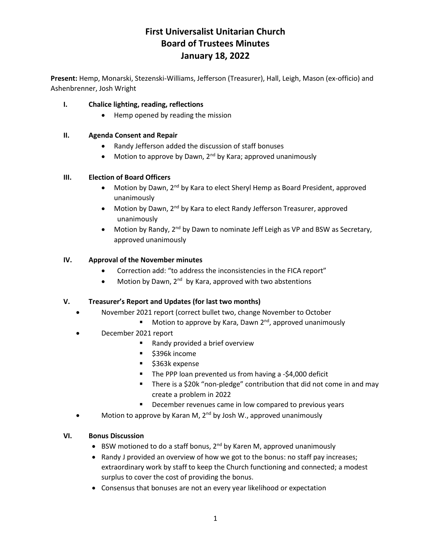## **First Universalist Unitarian Church Board of Trustees Minutes January 18, 2022**

**Present:** Hemp, Monarski, Stezenski-Williams, Jefferson (Treasurer), Hall, Leigh, Mason (ex-officio) and Ashenbrenner, Josh Wright

### **I. Chalice lighting, reading, reflections**

• Hemp opened by reading the mission

### **II. Agenda Consent and Repair**

- Randy Jefferson added the discussion of staff bonuses
- Motion to approve by Dawn,  $2<sup>nd</sup>$  by Kara; approved unanimously

#### **III. Election of Board Officers**

- Motion by Dawn,  $2^{nd}$  by Kara to elect Sheryl Hemp as Board President, approved unanimously
- Motion by Dawn, 2<sup>nd</sup> by Kara to elect Randy Jefferson Treasurer, approved unanimously
- Motion by Randy,  $2^{nd}$  by Dawn to nominate Jeff Leigh as VP and BSW as Secretary, approved unanimously

### **IV. Approval of the November minutes**

- Correction add: "to address the inconsistencies in the FICA report"
- Motion by Dawn, 2<sup>nd</sup> by Kara, approved with two abstentions

### **V. Treasurer's Report and Updates (for last two months)**

- November 2021 report (correct bullet two, change November to October
	- **■** Motion to approve by Kara, Dawn  $2^{nd}$ , approved unanimously
- December 2021 report
	- Randy provided a brief overview
	- \$396k income
	- \$363k expense
	- The PPP loan prevented us from having a -\$4,000 deficit
	- There is a \$20k "non-pledge" contribution that did not come in and may create a problem in 2022
	- December revenues came in low compared to previous years
- Motion to approve by Karan M,  $2^{nd}$  by Josh W., approved unanimously

#### **VI. Bonus Discussion**

- BSW motioned to do a staff bonus,  $2^{nd}$  by Karen M, approved unanimously
- Randy J provided an overview of how we got to the bonus: no staff pay increases; extraordinary work by staff to keep the Church functioning and connected; a modest surplus to cover the cost of providing the bonus.
- Consensus that bonuses are not an every year likelihood or expectation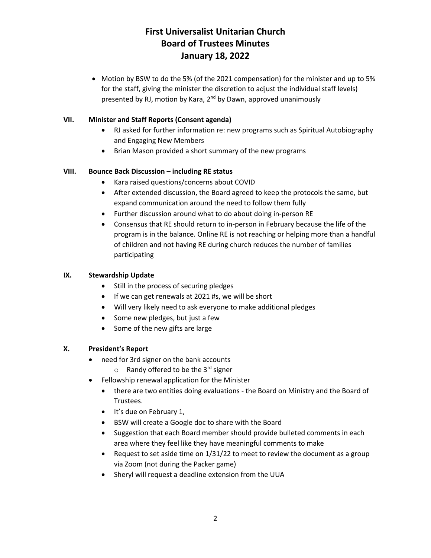## **First Universalist Unitarian Church Board of Trustees Minutes January 18, 2022**

• Motion by BSW to do the 5% (of the 2021 compensation) for the minister and up to 5% for the staff, giving the minister the discretion to adjust the individual staff levels) presented by RJ, motion by Kara, 2<sup>nd</sup> by Dawn, approved unanimously

### **VII. Minister and Staff Reports (Consent agenda)**

- RJ asked for further information re: new programs such as Spiritual Autobiography and Engaging New Members
- Brian Mason provided a short summary of the new programs

### **VIII. Bounce Back Discussion – including RE status**

- Kara raised questions/concerns about COVID
- After extended discussion, the Board agreed to keep the protocols the same, but expand communication around the need to follow them fully
- Further discussion around what to do about doing in-person RE
- Consensus that RE should return to in-person in February because the life of the program is in the balance. Online RE is not reaching or helping more than a handful of children and not having RE during church reduces the number of families participating

### **IX. Stewardship Update**

- Still in the process of securing pledges
- If we can get renewals at 2021 #s, we will be short
- Will very likely need to ask everyone to make additional pledges
- Some new pledges, but just a few
- Some of the new gifts are large

#### **X. President's Report**

- need for 3rd signer on the bank accounts
	- $\circ$  Randy offered to be the 3<sup>rd</sup> signer
- Fellowship renewal application for the Minister
	- there are two entities doing evaluations the Board on Ministry and the Board of Trustees.
	- It's due on February 1,
	- BSW will create a Google doc to share with the Board
	- Suggestion that each Board member should provide bulleted comments in each area where they feel like they have meaningful comments to make
	- Request to set aside time on 1/31/22 to meet to review the document as a group via Zoom (not during the Packer game)
	- Sheryl will request a deadline extension from the UUA